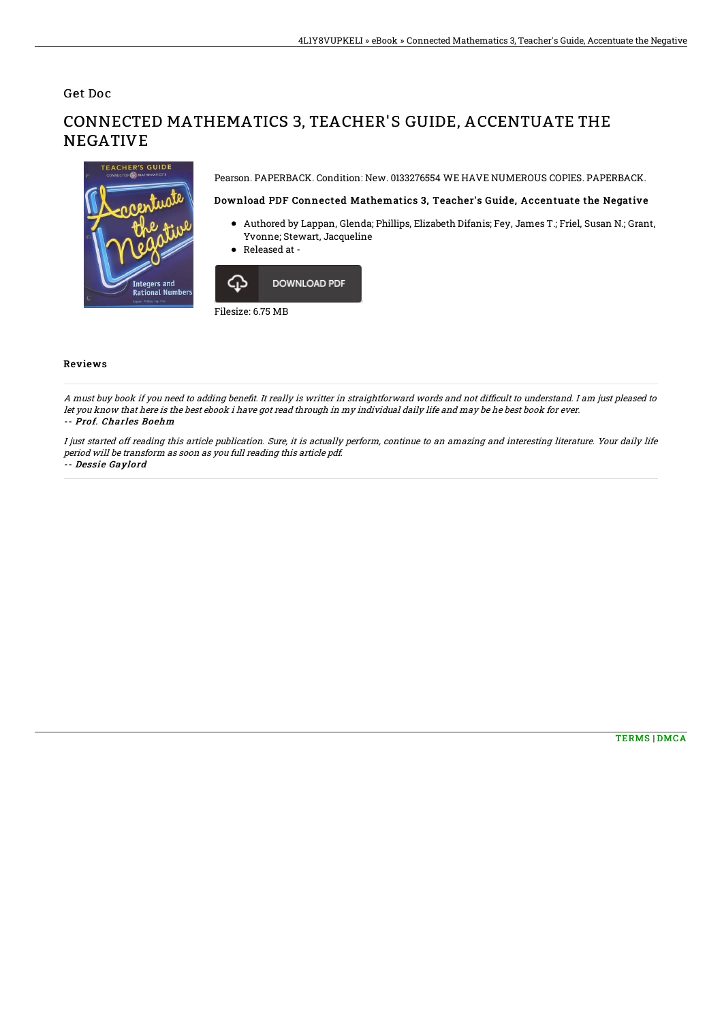Get Doc

# CONNECTED MATHEMATICS 3, TEACHER'S GUIDE, ACCENTUATE THE **NEGATIVE**

Pearson. PAPERBACK. Condition: New. 0133276554 WE HAVE NUMEROUS COPIES. PAPERBACK.

### Download PDF Connected Mathematics 3, Teacher's Guide, Accentuate the Negative

- Authored by Lappan, Glenda; Phillips, Elizabeth Difanis; Fey, James T.; Friel, Susan N.; Grant, Yvonne; Stewart, Jacqueline
- Released at -



#### Reviews

A must buy book if you need to adding benefit. It really is writter in straightforward words and not difficult to understand. I am just pleased to let you know that here is the best ebook i have got read through in my individual daily life and may be he best book for ever. -- Prof. Charles Boehm

I just started off reading this article publication. Sure, it is actually perform, continue to an amazing and interesting literature. Your daily life period will be transform as soon as you full reading this article pdf.

#### -- Dessie Gaylord

**Integers and<br>Rational Number**